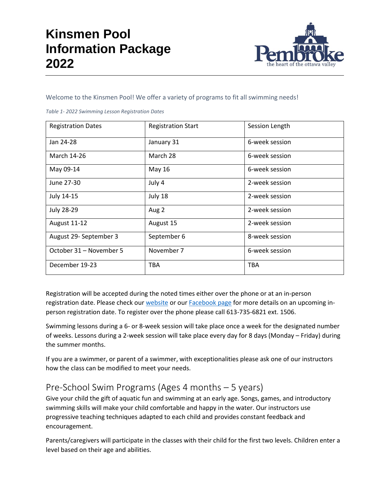

Welcome to the Kinsmen Pool! We offer a variety of programs to fit all swimming needs!

|  |  | Table 1-2022 Swimming Lesson Registration Dates |  |
|--|--|-------------------------------------------------|--|
|  |  |                                                 |  |

| <b>Registration Dates</b> | <b>Registration Start</b> | Session Length |
|---------------------------|---------------------------|----------------|
| Jan 24-28                 | January 31                | 6-week session |
| March 14-26               | March 28                  | 6-week session |
| May 09-14                 | May 16                    | 6-week session |
| June 27-30                | July 4                    | 2-week session |
| July 14-15                | July 18                   | 2-week session |
| <b>July 28-29</b>         | Aug 2                     | 2-week session |
| <b>August 11-12</b>       | August 15                 | 2-week session |
| August 29- September 3    | September 6               | 8-week session |
| October 31 - November 5   | November 7                | 6-week session |
| December 19-23            | <b>TBA</b>                | <b>TBA</b>     |

Registration will be accepted during the noted times either over the phone or at an in-person registration date. Please check our [website](https://www.pembroke.ca/residents/recreation-programs/facilities/kinsmen-pool.html) or ou[r Facebook page](https://www.facebook.com/thecityofpembroke) for more details on an upcoming inperson registration date. To register over the phone please call 613-735-6821 ext. 1506.

Swimming lessons during a 6- or 8-week session will take place once a week for the designated number of weeks. Lessons during a 2-week session will take place every day for 8 days (Monday – Friday) during the summer months.

If you are a swimmer, or parent of a swimmer, with exceptionalities please ask one of our instructors how the class can be modified to meet your needs.

### Pre-School Swim Programs (Ages 4 months – 5 years)

Give your child the gift of aquatic fun and swimming at an early age. Songs, games, and introductory swimming skills will make your child comfortable and happy in the water. Our instructors use progressive teaching techniques adapted to each child and provides constant feedback and encouragement.

Parents/caregivers will participate in the classes with their child for the first two levels. Children enter a level based on their age and abilities.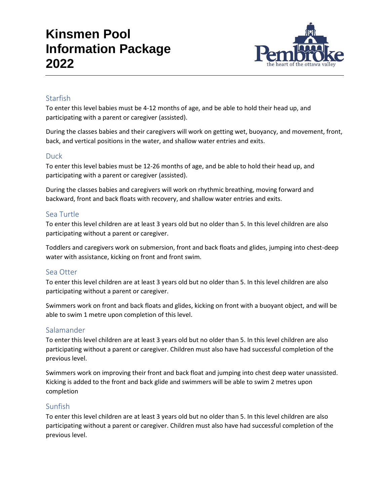

### **Starfish**

To enter this level babies must be 4-12 months of age, and be able to hold their head up, and participating with a parent or caregiver (assisted).

During the classes babies and their caregivers will work on getting wet, buoyancy, and movement, front, back, and vertical positions in the water, and shallow water entries and exits.

### **Duck**

To enter this level babies must be 12-26 months of age, and be able to hold their head up, and participating with a parent or caregiver (assisted).

During the classes babies and caregivers will work on rhythmic breathing, moving forward and backward, front and back floats with recovery, and shallow water entries and exits.

### Sea Turtle

To enter this level children are at least 3 years old but no older than 5. In this level children are also participating without a parent or caregiver.

Toddlers and caregivers work on submersion, front and back floats and glides, jumping into chest-deep water with assistance, kicking on front and front swim.

### Sea Otter

To enter this level children are at least 3 years old but no older than 5. In this level children are also participating without a parent or caregiver.

Swimmers work on front and back floats and glides, kicking on front with a buoyant object, and will be able to swim 1 metre upon completion of this level.

### Salamander

To enter this level children are at least 3 years old but no older than 5. In this level children are also participating without a parent or caregiver. Children must also have had successful completion of the previous level.

Swimmers work on improving their front and back float and jumping into chest deep water unassisted. Kicking is added to the front and back glide and swimmers will be able to swim 2 metres upon completion

### Sunfish

To enter this level children are at least 3 years old but no older than 5. In this level children are also participating without a parent or caregiver. Children must also have had successful completion of the previous level.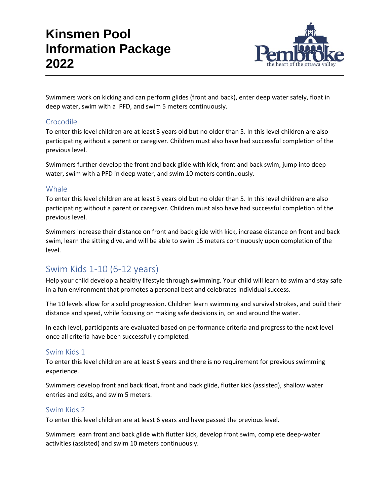

Swimmers work on kicking and can perform glides (front and back), enter deep water safely, float in deep water, swim with a PFD, and swim 5 meters continuously.

### Crocodile

To enter this level children are at least 3 years old but no older than 5. In this level children are also participating without a parent or caregiver. Children must also have had successful completion of the previous level.

Swimmers further develop the front and back glide with kick, front and back swim, jump into deep water, swim with a PFD in deep water, and swim 10 meters continuously.

### Whale

To enter this level children are at least 3 years old but no older than 5. In this level children are also participating without a parent or caregiver. Children must also have had successful completion of the previous level.

Swimmers increase their distance on front and back glide with kick, increase distance on front and back swim, learn the sitting dive, and will be able to swim 15 meters continuously upon completion of the level.

### Swim Kids 1-10 (6-12 years)

Help your child develop a healthy lifestyle through swimming. Your child will learn to swim and stay safe in a fun environment that promotes a personal best and celebrates individual success.

The 10 levels allow for a solid progression. Children learn swimming and survival strokes, and build their distance and speed, while focusing on making safe decisions in, on and around the water.

In each level, participants are evaluated based on performance criteria and progress to the next level once all criteria have been successfully completed.

### Swim Kids 1

To enter this level children are at least 6 years and there is no requirement for previous swimming experience.

Swimmers develop front and back float, front and back glide, flutter kick (assisted), shallow water entries and exits, and swim 5 meters.

### Swim Kids 2

To enter this level children are at least 6 years and have passed the previous level.

Swimmers learn front and back glide with flutter kick, develop front swim, complete deep-water activities (assisted) and swim 10 meters continuously.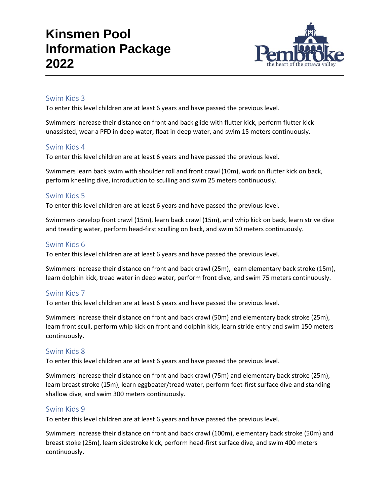

### Swim Kids 3

To enter this level children are at least 6 years and have passed the previous level.

Swimmers increase their distance on front and back glide with flutter kick, perform flutter kick unassisted, wear a PFD in deep water, float in deep water, and swim 15 meters continuously.

### Swim Kids 4

To enter this level children are at least 6 years and have passed the previous level.

Swimmers learn back swim with shoulder roll and front crawl (10m), work on flutter kick on back, perform kneeling dive, introduction to sculling and swim 25 meters continuously.

### Swim Kids 5

To enter this level children are at least 6 years and have passed the previous level.

Swimmers develop front crawl (15m), learn back crawl (15m), and whip kick on back, learn strive dive and treading water, perform head-first sculling on back, and swim 50 meters continuously.

#### Swim Kids 6

To enter this level children are at least 6 years and have passed the previous level.

Swimmers increase their distance on front and back crawl (25m), learn elementary back stroke (15m), learn dolphin kick, tread water in deep water, perform front dive, and swim 75 meters continuously.

### Swim Kids 7

To enter this level children are at least 6 years and have passed the previous level.

Swimmers increase their distance on front and back crawl (50m) and elementary back stroke (25m), learn front scull, perform whip kick on front and dolphin kick, learn stride entry and swim 150 meters continuously.

### Swim Kids 8

To enter this level children are at least 6 years and have passed the previous level.

Swimmers increase their distance on front and back crawl (75m) and elementary back stroke (25m), learn breast stroke (15m), learn eggbeater/tread water, perform feet-first surface dive and standing shallow dive, and swim 300 meters continuously.

### Swim Kids 9

To enter this level children are at least 6 years and have passed the previous level.

Swimmers increase their distance on front and back crawl (100m), elementary back stroke (50m) and breast stoke (25m), learn sidestroke kick, perform head-first surface dive, and swim 400 meters continuously.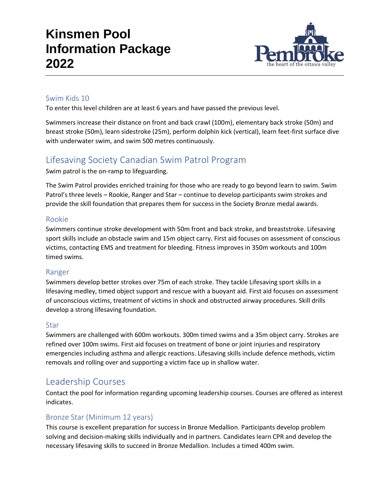

### Swim Kids 10

To enter this level children are at least 6 years and have passed the previous level.

Swimmers increase their distance on front and back crawl (100m), elementary back stroke (50m) and breast stroke (50m), learn sidestroke (25m), perform dolphin kick (vertical), learn feet-first surface dive with underwater swim, and swim 500 metres continuously.

## Lifesaving Society Canadian Swim Patrol Program

Swim patrol is the on-ramp to lifeguarding.

The Swim Patrol provides enriched training for those who are ready to go beyond learn to swim. Swim Patrol's three levels – Rookie, Ranger and Star – continue to develop participants swim strokes and provide the skill foundation that prepares them for success in the Society Bronze medal awards.

### Rookie

Swimmers continue stroke development with 50m front and back stroke, and breaststroke. Lifesaving sport skills include an obstacle swim and 15m object carry. First aid focuses on assessment of conscious victims, contacting EMS and treatment for bleeding. Fitness improves in 350m workouts and 100m timed swims.

### Ranger

Swimmers develop better strokes over 75m of each stroke. They tackle Lifesaving sport skills in a lifesaving medley, timed object support and rescue with a buoyant aid. First aid focuses on assessment of unconscious victims, treatment of victims in shock and obstructed airway procedures. Skill drills develop a strong lifesaving foundation.

### Star

Swimmers are challenged with 600m workouts. 300m timed swims and a 35m object carry. Strokes are refined over 100m swims. First aid focuses on treatment of bone or joint injuries and respiratory emergencies including asthma and allergic reactions. Lifesaving skills include defence methods, victim removals and rolling over and supporting a victim face up in shallow water.

### Leadership Courses

Contact the pool for information regarding upcoming leadership courses. Courses are offered as interest indicates.

### Bronze Star (Minimum 12 years)

This course is excellent preparation for success in Bronze Medallion. Participants develop problem solving and decision-making skills individually and in partners. Candidates learn CPR and develop the necessary lifesaving skills to succeed in Bronze Medallion. Includes a timed 400m swim.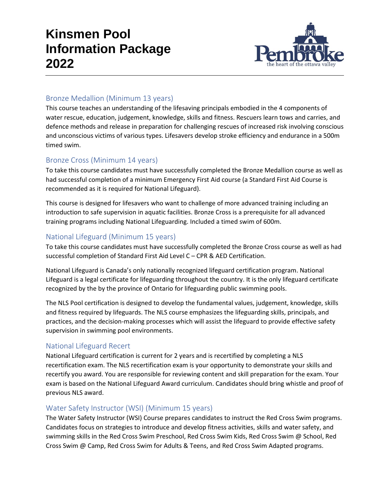

### Bronze Medallion (Minimum 13 years)

This course teaches an understanding of the lifesaving principals embodied in the 4 components of water rescue, education, judgement, knowledge, skills and fitness. Rescuers learn tows and carries, and defence methods and release in preparation for challenging rescues of increased risk involving conscious and unconscious victims of various types. Lifesavers develop stroke efficiency and endurance in a 500m timed swim.

### Bronze Cross (Minimum 14 years)

To take this course candidates must have successfully completed the Bronze Medallion course as well as had successful completion of a minimum Emergency First Aid course (a Standard First Aid Course is recommended as it is required for National Lifeguard).

This course is designed for lifesavers who want to challenge of more advanced training including an introduction to safe supervision in aquatic facilities. Bronze Cross is a prerequisite for all advanced training programs including National Lifeguarding. Included a timed swim of 600m.

### National Lifeguard (Minimum 15 years)

To take this course candidates must have successfully completed the Bronze Cross course as well as had successful completion of Standard First Aid Level C – CPR & AED Certification.

National Lifeguard is Canada's only nationally recognized lifeguard certification program. National Lifeguard is a legal certificate for lifeguarding throughout the country. It is the only lifeguard certificate recognized by the by the province of Ontario for lifeguarding public swimming pools.

The NLS Pool certification is designed to develop the fundamental values, judgement, knowledge, skills and fitness required by lifeguards. The NLS course emphasizes the lifeguarding skills, principals, and practices, and the decision-making processes which will assist the lifeguard to provide effective safety supervision in swimming pool environments.

### National Lifeguard Recert

National Lifeguard certification is current for 2 years and is recertified by completing a NLS recertification exam. The NLS recertification exam is your opportunity to demonstrate your skills and recertify you award. You are responsible for reviewing content and skill preparation for the exam. Your exam is based on the National Lifeguard Award curriculum. Candidates should bring whistle and proof of previous NLS award.

### Water Safety Instructor (WSI) (Minimum 15 years)

The Water Safety Instructor (WSI) Course prepares candidates to instruct the Red Cross Swim programs. Candidates focus on strategies to introduce and develop fitness activities, skills and water safety, and swimming skills in the Red Cross Swim Preschool, Red Cross Swim Kids, Red Cross Swim @ School, Red Cross Swim @ Camp, Red Cross Swim for Adults & Teens, and Red Cross Swim Adapted programs.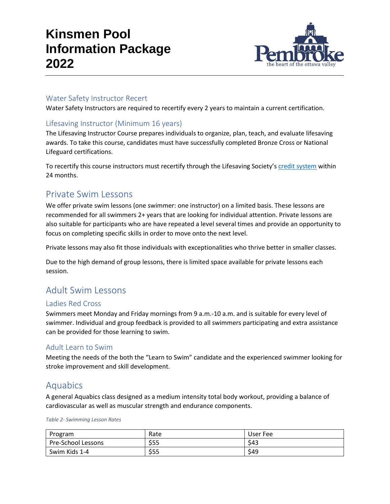

#### Water Safety Instructor Recert

Water Safety Instructors are required to recertify every 2 years to maintain a current certification.

### Lifesaving Instructor (Minimum 16 years)

The Lifesaving Instructor Course prepares individuals to organize, plan, teach, and evaluate lifesaving awards. To take this course, candidates must have successfully completed Bronze Cross or National Lifeguard certifications.

To recertify this course instructors must recertify through the Lifesaving Society's [credit system](https://www.lifesavingsociety.com/teaching/recertifying.aspx) within 24 months.

### Private Swim Lessons

We offer private swim lessons (one swimmer: one instructor) on a limited basis. These lessons are recommended for all swimmers 2+ years that are looking for individual attention. Private lessons are also suitable for participants who are have repeated a level several times and provide an opportunity to focus on completing specific skills in order to move onto the next level.

Private lessons may also fit those individuals with exceptionalities who thrive better in smaller classes.

Due to the high demand of group lessons, there is limited space available for private lessons each session.

### Adult Swim Lessons

### Ladies Red Cross

Swimmers meet Monday and Friday mornings from 9 a.m.-10 a.m. and is suitable for every level of swimmer. Individual and group feedback is provided to all swimmers participating and extra assistance can be provided for those learning to swim.

#### Adult Learn to Swim

Meeting the needs of the both the "Learn to Swim" candidate and the experienced swimmer looking for stroke improvement and skill development.

### Aquabics

A general Aquabics class designed as a medium intensity total body workout, providing a balance of cardiovascular as well as muscular strength and endurance components.

#### *Table 2- Swimming Lesson Rates*

| Program            | Rate | User Fee |
|--------------------|------|----------|
| Pre-School Lessons | \$55 | \$43     |
| Swim Kids 1-4      | \$55 | \$49     |